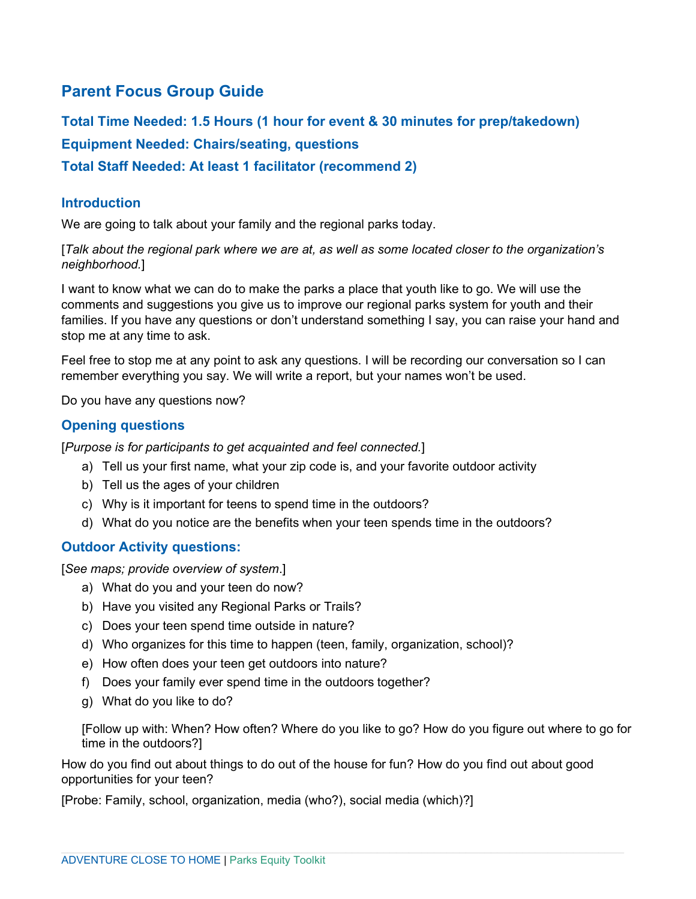## **Parent Focus Group Guide**

**Total Time Needed: 1.5 Hours (1 hour for event & 30 minutes for prep/takedown) Equipment Needed: Chairs/seating, questions Total Staff Needed: At least 1 facilitator (recommend 2)**

#### **Introduction**

We are going to talk about your family and the regional parks today.

[*Talk about the regional park where we are at, as well as some located closer to the organization's neighborhood.*]

I want to know what we can do to make the parks a place that youth like to go. We will use the comments and suggestions you give us to improve our regional parks system for youth and their families. If you have any questions or don't understand something I say, you can raise your hand and stop me at any time to ask.

Feel free to stop me at any point to ask any questions. I will be recording our conversation so I can remember everything you say. We will write a report, but your names won't be used.

Do you have any questions now?

## **Opening questions**

[*Purpose is for participants to get acquainted and feel connected.*]

- a) Tell us your first name, what your zip code is, and your favorite outdoor activity
- b) Tell us the ages of your children
- c) Why is it important for teens to spend time in the outdoors?
- d) What do you notice are the benefits when your teen spends time in the outdoors?

#### **Outdoor Activity questions:**

[*See maps; provide overview of system*.]

- a) What do you and your teen do now?
- b) Have you visited any Regional Parks or Trails?
- c) Does your teen spend time outside in nature?
- d) Who organizes for this time to happen (teen, family, organization, school)?
- e) How often does your teen get outdoors into nature?
- f) Does your family ever spend time in the outdoors together?
- g) What do you like to do?

[Follow up with: When? How often? Where do you like to go? How do you figure out where to go for time in the outdoors?]

How do you find out about things to do out of the house for fun? How do you find out about good opportunities for your teen?

[Probe: Family, school, organization, media (who?), social media (which)?]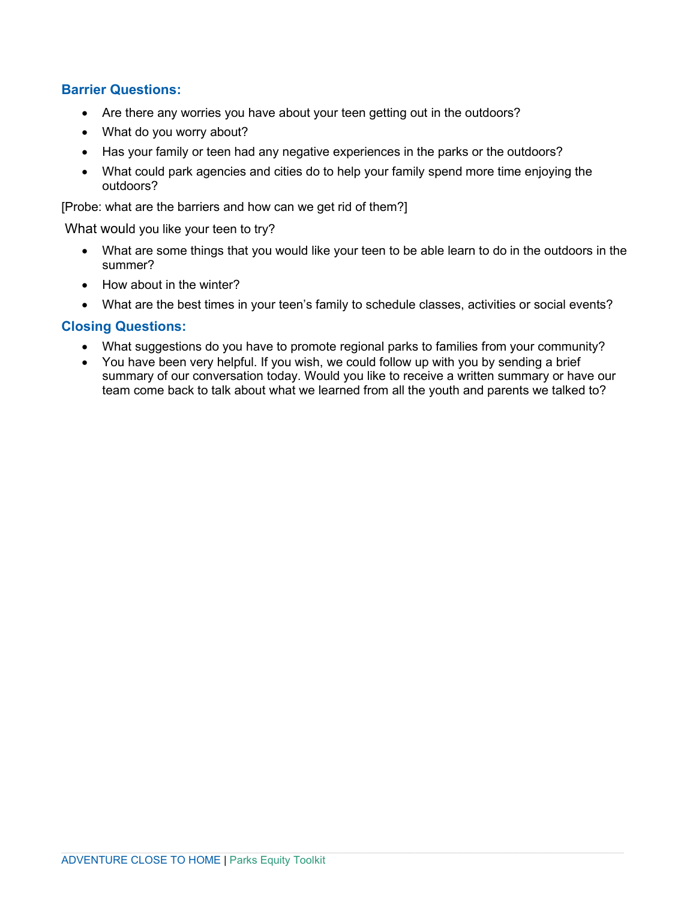## **Barrier Questions:**

- Are there any worries you have about your teen getting out in the outdoors?
- What do you worry about?
- Has your family or teen had any negative experiences in the parks or the outdoors?
- What could park agencies and cities do to help your family spend more time enjoying the outdoors?

[Probe: what are the barriers and how can we get rid of them?]

What would you like your teen to try?

- What are some things that you would like your teen to be able learn to do in the outdoors in the summer?
- How about in the winter?
- What are the best times in your teen's family to schedule classes, activities or social events?

#### **Closing Questions:**

- What suggestions do you have to promote regional parks to families from your community?
- You have been very helpful. If you wish, we could follow up with you by sending a brief summary of our conversation today. Would you like to receive a written summary or have our team come back to talk about what we learned from all the youth and parents we talked to?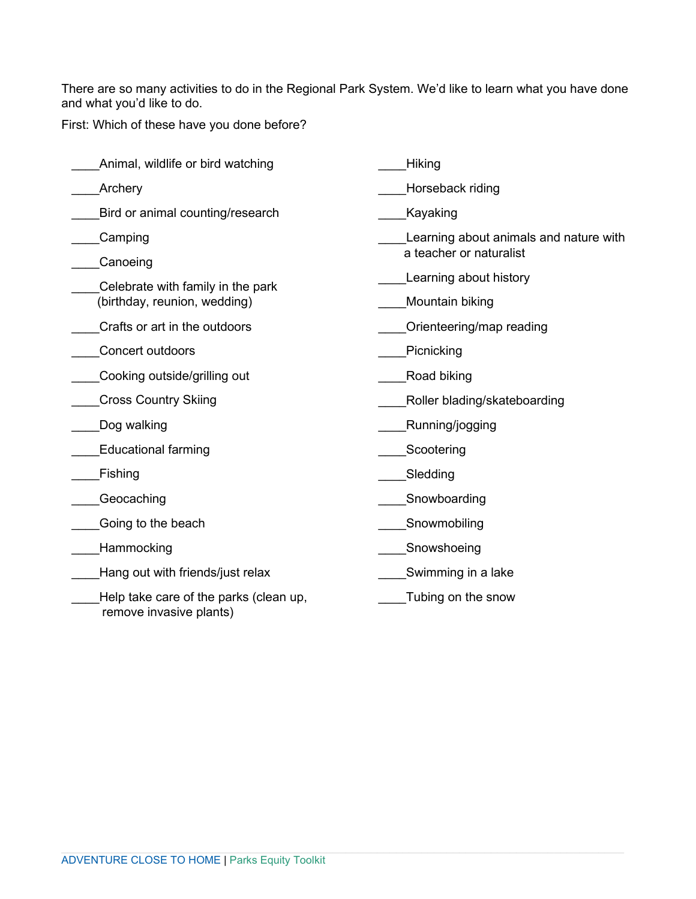There are so many activities to do in the Regional Park System. We'd like to learn what you have done and what you'd like to do.

First: Which of these have you done before?

| Animal, wildlife or bird watching                                 | Hiking                                 |
|-------------------------------------------------------------------|----------------------------------------|
| Archery                                                           | Horseback riding                       |
| Bird or animal counting/research                                  | Kayaking                               |
| Camping                                                           | Learning about animals and nature with |
| Canoeing                                                          | a teacher or naturalist                |
| Celebrate with family in the park                                 | Learning about history                 |
| (birthday, reunion, wedding)                                      | Mountain biking                        |
| Crafts or art in the outdoors                                     | Orienteering/map reading               |
| Concert outdoors                                                  | Picnicking                             |
| Cooking outside/grilling out                                      | Road biking                            |
| <b>Cross Country Skiing</b>                                       | Roller blading/skateboarding           |
| Dog walking                                                       | Running/jogging                        |
| <b>Educational farming</b>                                        | Scootering                             |
| Fishing                                                           | Sledding                               |
| Geocaching                                                        | Snowboarding                           |
| Going to the beach                                                | Snowmobiling                           |
| Hammocking                                                        | Snowshoeing                            |
| Hang out with friends/just relax                                  | Swimming in a lake                     |
| Help take care of the parks (clean up,<br>remove invasive plants) | Tubing on the snow                     |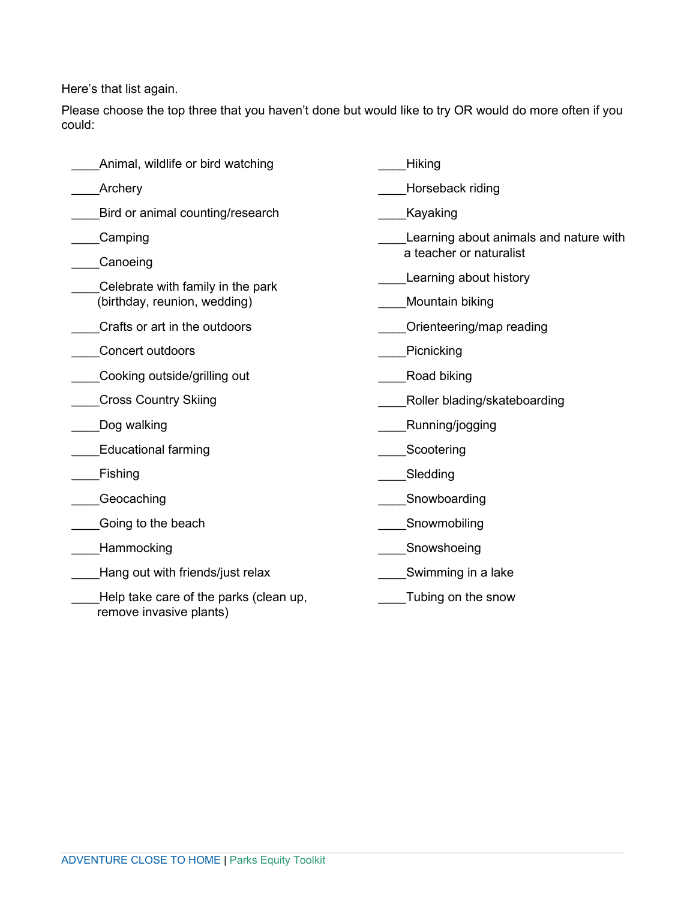Here's that list again.

Please choose the top three that you haven't done but would like to try OR would do more often if you could:

| Animal, wildlife or bird watching                                 | Hiking                                 |
|-------------------------------------------------------------------|----------------------------------------|
| Archery                                                           | Horseback riding                       |
| Bird or animal counting/research                                  | Kayaking                               |
| Camping                                                           | Learning about animals and nature with |
| Canoeing                                                          | a teacher or naturalist                |
| Celebrate with family in the park                                 | Learning about history                 |
| (birthday, reunion, wedding)                                      | Mountain biking                        |
| Crafts or art in the outdoors                                     | Orienteering/map reading               |
| <b>Concert outdoors</b>                                           | Picnicking                             |
| Cooking outside/grilling out                                      | Road biking                            |
| <b>Cross Country Skiing</b>                                       | Roller blading/skateboarding           |
| Dog walking                                                       | Running/jogging                        |
| <b>Educational farming</b>                                        | Scootering                             |
| Fishing                                                           | Sledding                               |
| Geocaching                                                        | Snowboarding                           |
| Going to the beach                                                | Snowmobiling                           |
| Hammocking                                                        | Snowshoeing                            |
| Hang out with friends/just relax                                  | Swimming in a lake                     |
| Help take care of the parks (clean up,<br>remove invasive plants) | Tubing on the snow                     |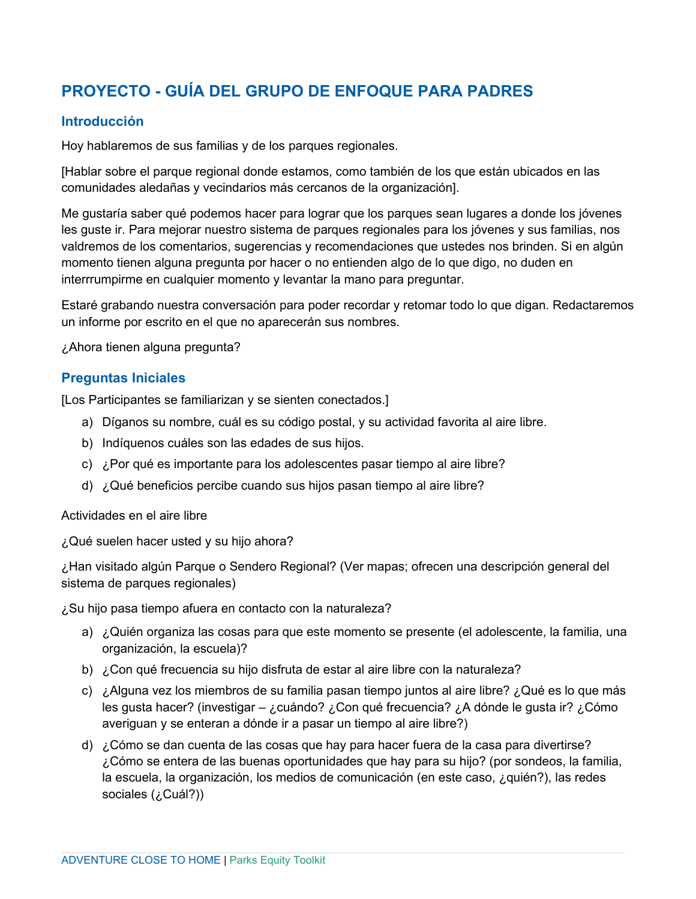# **PROYECTO - GUÍA DEL GRUPO DE ENFOQUE PARA PADRES**

## **Introducción**

Hoy hablaremos de sus familias y de los parques regionales.

[Hablar sobre el parque regional donde estamos, como también de los que están ubicados en las comunidades aledañas y vecindarios más cercanos de la organización].

Me gustaría saber qué podemos hacer para lograr que los parques sean lugares a donde los jóvenes les guste ir. Para mejorar nuestro sistema de parques regionales para los jóvenes y sus familias, nos valdremos de los comentarios, sugerencias y recomendaciones que ustedes nos brinden. Si en algún momento tienen alguna pregunta por hacer o no entienden algo de lo que digo, no duden en interrrumpirme en cualquier momento y levantar la mano para preguntar.

Estaré grabando nuestra conversación para poder recordar y retomar todo lo que digan. Redactaremos un informe por escrito en el que no aparecerán sus nombres.

¿Ahora tienen alguna pregunta?

## **Preguntas Iniciales**

[Los Participantes se familiarizan y se sienten conectados.]

- a) Díganos su nombre, cuál es su código postal, y su actividad favorita al aire libre.
- b) Indíquenos cuáles son las edades de sus hijos.
- c) ¿Por qué es importante para los adolescentes pasar tiempo al aire libre?
- d) ¿Qué beneficios percibe cuando sus hijos pasan tiempo al aire libre?

#### Actividades en el aire libre

¿Qué suelen hacer usted y su hijo ahora?

¿Han visitado algún Parque o Sendero Regional? (Ver mapas; ofrecen una descripción general del sistema de parques regionales)

¿Su hijo pasa tiempo afuera en contacto con la naturaleza?

- a) ¿Quién organiza las cosas para que este momento se presente (el adolescente, la familia, una organización, la escuela)?
- b) ¿Con qué frecuencia su hijo disfruta de estar al aire libre con la naturaleza?
- c) ¿Alguna vez los miembros de su familia pasan tiempo juntos al aire libre? ¿Qué es lo que más les gusta hacer? (investigar – ¿cuándo? ¿Con qué frecuencia? ¿A dónde le gusta ir? ¿Cómo averiguan y se enteran a dónde ir a pasar un tiempo al aire libre?)
- d) ¿Cómo se dan cuenta de las cosas que hay para hacer fuera de la casa para divertirse? ¿Cómo se entera de las buenas oportunidades que hay para su hijo? (por sondeos, la familia, la escuela, la organización, los medios de comunicación (en este caso, ¿quién?), las redes sociales (¿Cuál?))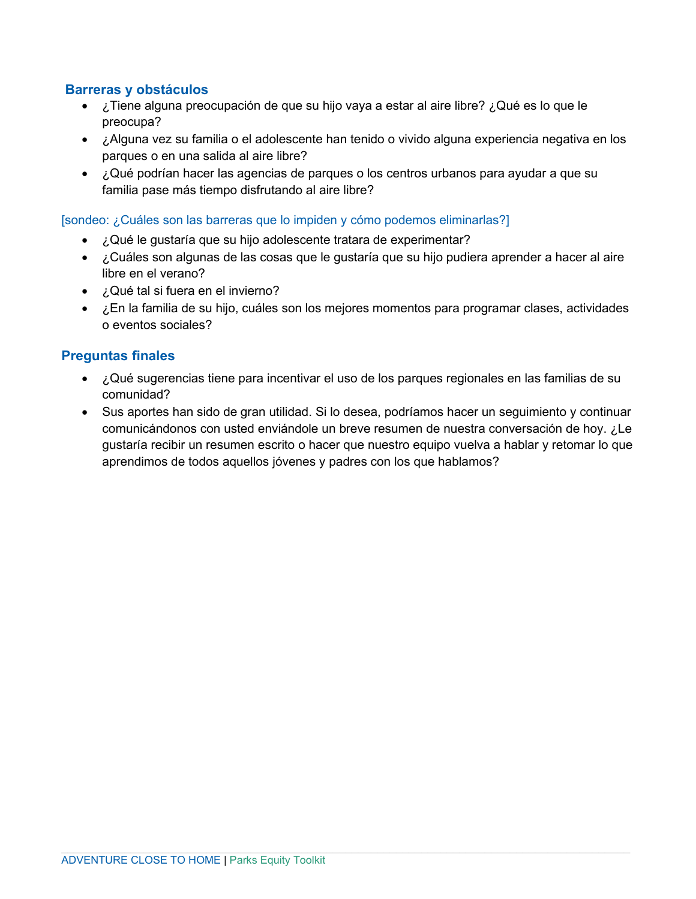### **Barreras y obstáculos**

- ¿Tiene alguna preocupación de que su hijo vaya a estar al aire libre? ¿Qué es lo que le preocupa?
- ¿Alguna vez su familia o el adolescente han tenido o vivido alguna experiencia negativa en los parques o en una salida al aire libre?
- ¿Qué podrían hacer las agencias de parques o los centros urbanos para ayudar a que su familia pase más tiempo disfrutando al aire libre?

#### [sondeo: ¿Cuáles son las barreras que lo impiden y cómo podemos eliminarlas?]

- ¿Qué le gustaría que su hijo adolescente tratara de experimentar?
- ¿Cuáles son algunas de las cosas que le gustaría que su hijo pudiera aprender a hacer al aire libre en el verano?
- ¿Qué tal si fuera en el invierno?
- ¿En la familia de su hijo, cuáles son los mejores momentos para programar clases, actividades o eventos sociales?

#### **Preguntas finales**

- ¿Qué sugerencias tiene para incentivar el uso de los parques regionales en las familias de su comunidad?
- Sus aportes han sido de gran utilidad. Si lo desea, podríamos hacer un seguimiento y continuar comunicándonos con usted enviándole un breve resumen de nuestra conversación de hoy. ¿Le gustaría recibir un resumen escrito o hacer que nuestro equipo vuelva a hablar y retomar lo que aprendimos de todos aquellos jóvenes y padres con los que hablamos?